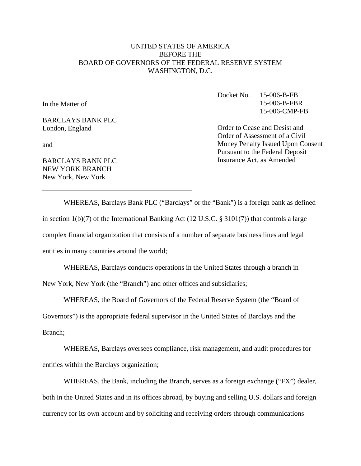## UNITED STATES OF AMERICA BEFORE THE BOARD OF GOVERNORS OF THE FEDERAL RESERVE SYSTEM WASHINGTON, D.C.

In the Matter of

BARCLAYS BANK PLC London, England

and

BARCLAYS BANK PLC NEW YORK BRANCH New York, New York

Docket No. 15-006-B-FB 15-006-B-FBR 15-006-CMP-FB

Order to Cease and Desist and Order of Assessment of a Civil Money Penalty Issued Upon Consent Pursuant to the Federal Deposit Insurance Act, as Amended

WHEREAS, Barclays Bank PLC ("Barclays" or the "Bank") is a foreign bank as defined in section 1(b)(7) of the International Banking Act (12 U.S.C. § 3101(7)) that controls a large complex financial organization that consists of a number of separate business lines and legal entities in many countries around the world;

WHEREAS, Barclays conducts operations in the United States through a branch in New York, New York (the "Branch") and other offices and subsidiaries;

WHEREAS, the Board of Governors of the Federal Reserve System (the "Board of Governors") is the appropriate federal supervisor in the United States of Barclays and the Branch;

WHEREAS, Barclays oversees compliance, risk management, and audit procedures for entities within the Barclays organization;

WHEREAS, the Bank, including the Branch, serves as a foreign exchange ("FX") dealer, both in the United States and in its offices abroad, by buying and selling U.S. dollars and foreign currency for its own account and by soliciting and receiving orders through communications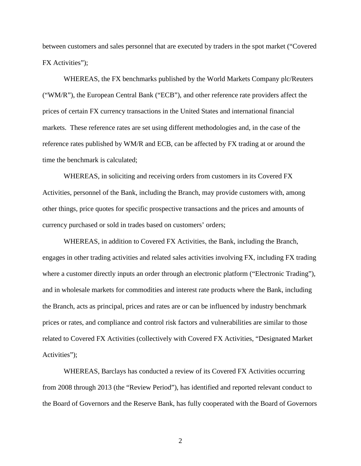between customers and sales personnel that are executed by traders in the spot market ("Covered FX Activities");

WHEREAS, the FX benchmarks published by the World Markets Company plc/Reuters ("WM/R"), the European Central Bank ("ECB"), and other reference rate providers affect the prices of certain FX currency transactions in the United States and international financial markets. These reference rates are set using different methodologies and, in the case of the reference rates published by WM/R and ECB, can be affected by FX trading at or around the time the benchmark is calculated;

WHEREAS, in soliciting and receiving orders from customers in its Covered FX Activities, personnel of the Bank, including the Branch, may provide customers with, among other things, price quotes for specific prospective transactions and the prices and amounts of currency purchased or sold in trades based on customers' orders;

WHEREAS, in addition to Covered FX Activities, the Bank, including the Branch, engages in other trading activities and related sales activities involving FX, including FX trading where a customer directly inputs an order through an electronic platform ("Electronic Trading"), and in wholesale markets for commodities and interest rate products where the Bank, including the Branch, acts as principal, prices and rates are or can be influenced by industry benchmark prices or rates, and compliance and control risk factors and vulnerabilities are similar to those related to Covered FX Activities (collectively with Covered FX Activities, "Designated Market Activities");

WHEREAS, Barclays has conducted a review of its Covered FX Activities occurring from 2008 through 2013 (the "Review Period"), has identified and reported relevant conduct to the Board of Governors and the Reserve Bank, has fully cooperated with the Board of Governors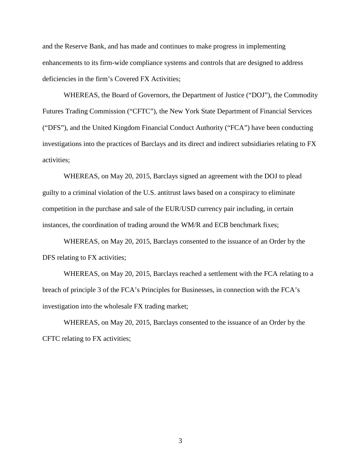and the Reserve Bank, and has made and continues to make progress in implementing enhancements to its firm-wide compliance systems and controls that are designed to address deficiencies in the firm's Covered FX Activities;

WHEREAS, the Board of Governors, the Department of Justice ("DOJ"), the Commodity Futures Trading Commission ("CFTC"), the New York State Department of Financial Services ("DFS"), and the United Kingdom Financial Conduct Authority ("FCA") have been conducting investigations into the practices of Barclays and its direct and indirect subsidiaries relating to FX activities;

WHEREAS, on May 20, 2015, Barclays signed an agreement with the DOJ to plead guilty to a criminal violation of the U.S. antitrust laws based on a conspiracy to eliminate competition in the purchase and sale of the EUR/USD currency pair including, in certain instances, the coordination of trading around the WM/R and ECB benchmark fixes;

WHEREAS, on May 20, 2015, Barclays consented to the issuance of an Order by the DFS relating to FX activities;

WHEREAS, on May 20, 2015, Barclays reached a settlement with the FCA relating to a breach of principle 3 of the FCA's Principles for Businesses, in connection with the FCA's investigation into the wholesale FX trading market;

WHEREAS, on May 20, 2015, Barclays consented to the issuance of an Order by the CFTC relating to FX activities;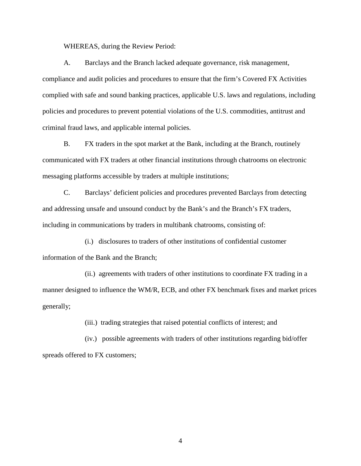WHEREAS, during the Review Period:

A. Barclays and the Branch lacked adequate governance, risk management, compliance and audit policies and procedures to ensure that the firm's Covered FX Activities complied with safe and sound banking practices, applicable U.S. laws and regulations, including policies and procedures to prevent potential violations of the U.S. commodities, antitrust and criminal fraud laws, and applicable internal policies.

B. FX traders in the spot market at the Bank, including at the Branch, routinely communicated with FX traders at other financial institutions through chatrooms on electronic messaging platforms accessible by traders at multiple institutions;

C. Barclays' deficient policies and procedures prevented Barclays from detecting and addressing unsafe and unsound conduct by the Bank's and the Branch's FX traders, including in communications by traders in multibank chatrooms, consisting of:

(i.) disclosures to traders of other institutions of confidential customer information of the Bank and the Branch;

(ii.) agreements with traders of other institutions to coordinate FX trading in a manner designed to influence the WM/R, ECB, and other FX benchmark fixes and market prices generally;

(iii.) trading strategies that raised potential conflicts of interest; and

(iv.) possible agreements with traders of other institutions regarding bid/offer spreads offered to FX customers;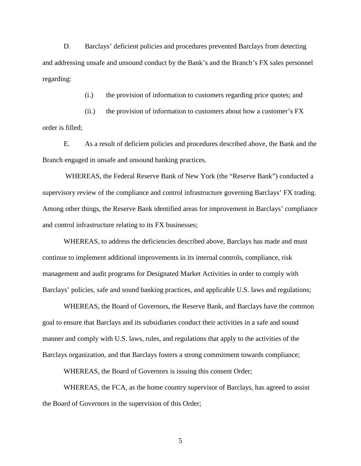D. Barclays' deficient policies and procedures prevented Barclays from detecting and addressing unsafe and unsound conduct by the Bank's and the Branch's FX sales personnel regarding:

(i.) the provision of information to customers regarding price quotes; and

(ii.) the provision of information to customers about how a customer's FX order is filled;

E. As a result of deficient policies and procedures described above, the Bank and the Branch engaged in unsafe and unsound banking practices.

WHEREAS, the Federal Reserve Bank of New York (the "Reserve Bank") conducted a supervisory review of the compliance and control infrastructure governing Barclays' FX trading. Among other things, the Reserve Bank identified areas for improvement in Barclays' compliance and control infrastructure relating to its FX businesses;

WHEREAS, to address the deficiencies described above, Barclays has made and must continue to implement additional improvements in its internal controls, compliance, risk management and audit programs for Designated Market Activities in order to comply with Barclays' policies, safe and sound banking practices, and applicable U.S. laws and regulations;

WHEREAS, the Board of Governors, the Reserve Bank, and Barclays have the common goal to ensure that Barclays and its subsidiaries conduct their activities in a safe and sound manner and comply with U.S. laws, rules, and regulations that apply to the activities of the Barclays organization, and that Barclays fosters a strong commitment towards compliance;

WHEREAS, the Board of Governors is issuing this consent Order;

WHEREAS, the FCA, as the home country supervisor of Barclays, has agreed to assist the Board of Governors in the supervision of this Order;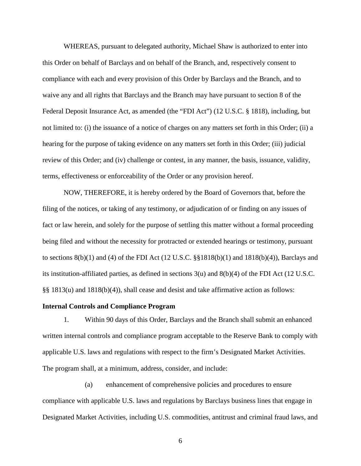WHEREAS, pursuant to delegated authority, Michael Shaw is authorized to enter into this Order on behalf of Barclays and on behalf of the Branch, and, respectively consent to compliance with each and every provision of this Order by Barclays and the Branch, and to waive any and all rights that Barclays and the Branch may have pursuant to section 8 of the Federal Deposit Insurance Act, as amended (the "FDI Act") (12 U.S.C. § 1818), including, but not limited to: (i) the issuance of a notice of charges on any matters set forth in this Order; (ii) a hearing for the purpose of taking evidence on any matters set forth in this Order; (iii) judicial review of this Order; and (iv) challenge or contest, in any manner, the basis, issuance, validity, terms, effectiveness or enforceability of the Order or any provision hereof.

NOW, THEREFORE, it is hereby ordered by the Board of Governors that, before the filing of the notices, or taking of any testimony, or adjudication of or finding on any issues of fact or law herein, and solely for the purpose of settling this matter without a formal proceeding being filed and without the necessity for protracted or extended hearings or testimony, pursuant to sections  $8(b)(1)$  and  $(4)$  of the FDI Act  $(12 \text{ U.S.C. } §§1818(b)(1)$  and  $1818(b)(4)$ ), Barclays and its institution-affiliated parties, as defined in sections 3(u) and 8(b)(4) of the FDI Act (12 U.S.C. §§ 1813(u) and 1818(b)(4)), shall cease and desist and take affirmative action as follows:

#### **Internal Controls and Compliance Program**

1. Within 90 days of this Order, Barclays and the Branch shall submit an enhanced written internal controls and compliance program acceptable to the Reserve Bank to comply with applicable U.S. laws and regulations with respect to the firm's Designated Market Activities. The program shall, at a minimum, address, consider, and include:

 (a) enhancement of comprehensive policies and procedures to ensure compliance with applicable U.S. laws and regulations by Barclays business lines that engage in Designated Market Activities, including U.S. commodities, antitrust and criminal fraud laws, and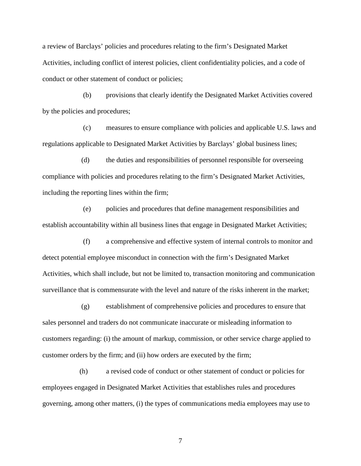a review of Barclays' policies and procedures relating to the firm's Designated Market Activities, including conflict of interest policies, client confidentiality policies, and a code of conduct or other statement of conduct or policies;

 (b) provisions that clearly identify the Designated Market Activities covered by the policies and procedures;

 (c) measures to ensure compliance with policies and applicable U.S. laws and regulations applicable to Designated Market Activities by Barclays' global business lines;

 (d) the duties and responsibilities of personnel responsible for overseeing compliance with policies and procedures relating to the firm's Designated Market Activities, including the reporting lines within the firm;

 (e) policies and procedures that define management responsibilities and establish accountability within all business lines that engage in Designated Market Activities;

 (f) a comprehensive and effective system of internal controls to monitor and detect potential employee misconduct in connection with the firm's Designated Market Activities, which shall include, but not be limited to, transaction monitoring and communication surveillance that is commensurate with the level and nature of the risks inherent in the market;

 (g) establishment of comprehensive policies and procedures to ensure that sales personnel and traders do not communicate inaccurate or misleading information to customers regarding: (i) the amount of markup, commission, or other service charge applied to customer orders by the firm; and (ii) how orders are executed by the firm;

 (h) a revised code of conduct or other statement of conduct or policies for employees engaged in Designated Market Activities that establishes rules and procedures governing, among other matters, (i) the types of communications media employees may use to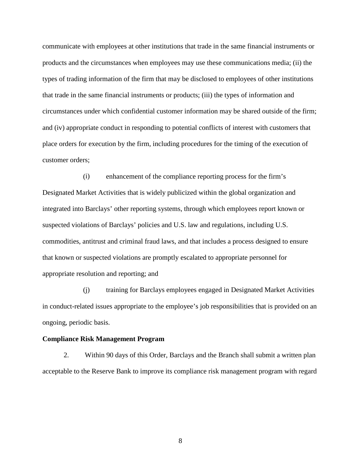communicate with employees at other institutions that trade in the same financial instruments or products and the circumstances when employees may use these communications media; (ii) the types of trading information of the firm that may be disclosed to employees of other institutions that trade in the same financial instruments or products; (iii) the types of information and circumstances under which confidential customer information may be shared outside of the firm; and (iv) appropriate conduct in responding to potential conflicts of interest with customers that place orders for execution by the firm, including procedures for the timing of the execution of customer orders;

 (i) enhancement of the compliance reporting process for the firm's Designated Market Activities that is widely publicized within the global organization and integrated into Barclays' other reporting systems, through which employees report known or suspected violations of Barclays' policies and U.S. law and regulations, including U.S. commodities, antitrust and criminal fraud laws, and that includes a process designed to ensure that known or suspected violations are promptly escalated to appropriate personnel for appropriate resolution and reporting; and

 (j) training for Barclays employees engaged in Designated Market Activities in conduct-related issues appropriate to the employee's job responsibilities that is provided on an ongoing, periodic basis.

#### **Compliance Risk Management Program**

2. Within 90 days of this Order, Barclays and the Branch shall submit a written plan acceptable to the Reserve Bank to improve its compliance risk management program with regard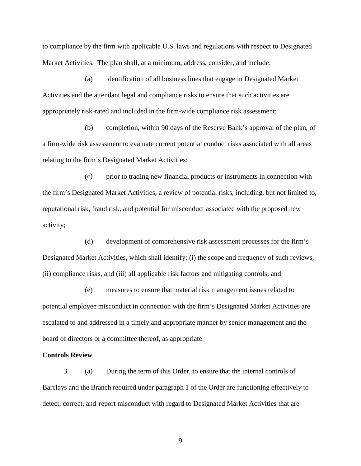to compliance by the firm with applicable U.S. laws and regulations with respect to Designated Market Activities. The plan shall, at a minimum, address, consider, and include:

 (a) identification of all business lines that engage in Designated Market Activities and the attendant legal and compliance risks to ensure that such activities are appropriately risk-rated and included in the firm-wide compliance risk assessment;

 (b) completion, within 90 days of the Reserve Bank's approval of the plan, of a firm-wide risk assessment to evaluate current potential conduct risks associated with all areas relating to the firm's Designated Market Activities;

 (c) prior to trading new financial products or instruments in connection with the firm's Designated Market Activities, a review of potential risks, including, but not limited to, reputational risk, fraud risk, and potential for misconduct associated with the proposed new activity;

 (d) development of comprehensive risk assessment processes for the firm's Designated Market Activities, which shall identify: (i) the scope and frequency of such reviews, (ii) compliance risks, and (iii) all applicable risk factors and mitigating controls; and

 (e) measures to ensure that material risk management issues related to potential employee misconduct in connection with the firm's Designated Market Activities are escalated to and addressed in a timely and appropriate manner by senior management and the board of directors or a committee thereof, as appropriate.

#### **Controls Review**

3. (a) During the term of this Order, to ensure that the internal controls of Barclays and the Branch required under paragraph 1 of the Order are functioning effectively to detect, correct, and report misconduct with regard to Designated Market Activities that are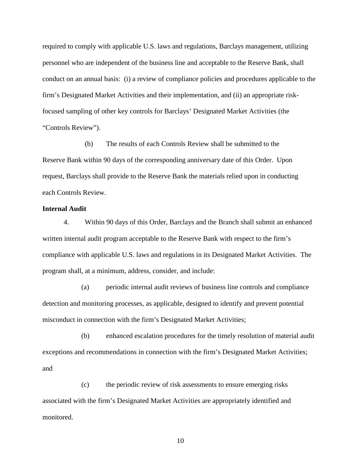required to comply with applicable U.S. laws and regulations, Barclays management, utilizing personnel who are independent of the business line and acceptable to the Reserve Bank, shall conduct on an annual basis: (i) a review of compliance policies and procedures applicable to the firm's Designated Market Activities and their implementation, and (ii) an appropriate riskfocused sampling of other key controls for Barclays' Designated Market Activities (the "Controls Review").

(b) The results of each Controls Review shall be submitted to the Reserve Bank within 90 days of the corresponding anniversary date of this Order. Upon request, Barclays shall provide to the Reserve Bank the materials relied upon in conducting each Controls Review.

#### **Internal Audit**

4. Within 90 days of this Order, Barclays and the Branch shall submit an enhanced written internal audit program acceptable to the Reserve Bank with respect to the firm's compliance with applicable U.S. laws and regulations in its Designated Market Activities. The program shall, at a minimum, address, consider, and include:

 (a) periodic internal audit reviews of business line controls and compliance detection and monitoring processes, as applicable, designed to identify and prevent potential misconduct in connection with the firm's Designated Market Activities;

 (b) enhanced escalation procedures for the timely resolution of material audit exceptions and recommendations in connection with the firm's Designated Market Activities; and

 (c) the periodic review of risk assessments to ensure emerging risks associated with the firm's Designated Market Activities are appropriately identified and monitored.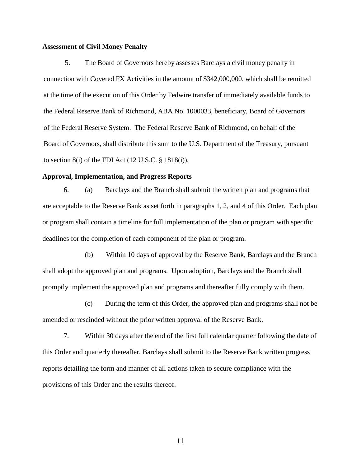#### **Assessment of Civil Money Penalty**

5. The Board of Governors hereby assesses Barclays a civil money penalty in connection with Covered FX Activities in the amount of \$342,000,000, which shall be remitted at the time of the execution of this Order by Fedwire transfer of immediately available funds to the Federal Reserve Bank of Richmond, ABA No. 1000033, beneficiary, Board of Governors of the Federal Reserve System. The Federal Reserve Bank of Richmond, on behalf of the Board of Governors, shall distribute this sum to the U.S. Department of the Treasury, pursuant to section  $8(i)$  of the FDI Act  $(12 \text{ U.S.C. } § 1818(i))$ .

#### **Approval, Implementation, and Progress Reports**

6. (a) Barclays and the Branch shall submit the written plan and programs that are acceptable to the Reserve Bank as set forth in paragraphs 1, 2, and 4 of this Order. Each plan or program shall contain a timeline for full implementation of the plan or program with specific deadlines for the completion of each component of the plan or program.

(b) Within 10 days of approval by the Reserve Bank, Barclays and the Branch shall adopt the approved plan and programs. Upon adoption, Barclays and the Branch shall promptly implement the approved plan and programs and thereafter fully comply with them.

 (c) During the term of this Order, the approved plan and programs shall not be amended or rescinded without the prior written approval of the Reserve Bank.

7. Within 30 days after the end of the first full calendar quarter following the date of this Order and quarterly thereafter, Barclays shall submit to the Reserve Bank written progress reports detailing the form and manner of all actions taken to secure compliance with the provisions of this Order and the results thereof.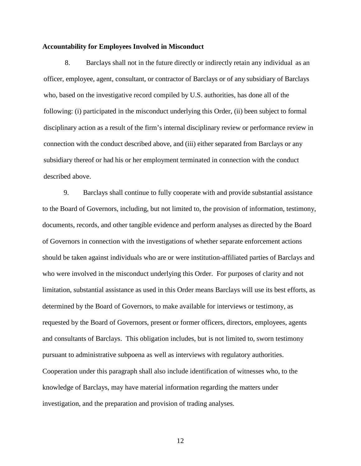#### **Accountability for Employees Involved in Misconduct**

8. Barclays shall not in the future directly or indirectly retain any individual as an officer, employee, agent, consultant, or contractor of Barclays or of any subsidiary of Barclays who, based on the investigative record compiled by U.S. authorities, has done all of the following: (i) participated in the misconduct underlying this Order, (ii) been subject to formal disciplinary action as a result of the firm's internal disciplinary review or performance review in connection with the conduct described above, and (iii) either separated from Barclays or any subsidiary thereof or had his or her employment terminated in connection with the conduct described above.

9. Barclays shall continue to fully cooperate with and provide substantial assistance to the Board of Governors, including, but not limited to, the provision of information, testimony, documents, records, and other tangible evidence and perform analyses as directed by the Board of Governors in connection with the investigations of whether separate enforcement actions should be taken against individuals who are or were institution-affiliated parties of Barclays and who were involved in the misconduct underlying this Order. For purposes of clarity and not limitation, substantial assistance as used in this Order means Barclays will use its best efforts, as determined by the Board of Governors, to make available for interviews or testimony, as requested by the Board of Governors, present or former officers, directors, employees, agents and consultants of Barclays. This obligation includes, but is not limited to, sworn testimony pursuant to administrative subpoena as well as interviews with regulatory authorities. Cooperation under this paragraph shall also include identification of witnesses who, to the knowledge of Barclays, may have material information regarding the matters under investigation, and the preparation and provision of trading analyses.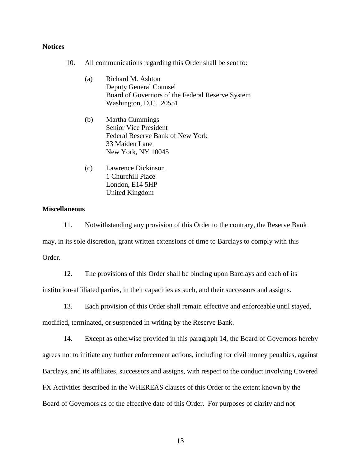### **Notices**

- 10. All communications regarding this Order shall be sent to:
	- (a) Richard M. Ashton Deputy General Counsel Board of Governors of the Federal Reserve System Washington, D.C. 20551
	- (b) Martha Cummings Senior Vice President Federal Reserve Bank of New York 33 Maiden Lane New York, NY 10045
	- (c) Lawrence Dickinson 1 Churchill Place London, E14 5HP United Kingdom

#### **Miscellaneous**

11. Notwithstanding any provision of this Order to the contrary, the Reserve Bank may, in its sole discretion, grant written extensions of time to Barclays to comply with this Order.

12. The provisions of this Order shall be binding upon Barclays and each of its institution-affiliated parties, in their capacities as such, and their successors and assigns.

13. Each provision of this Order shall remain effective and enforceable until stayed,

modified, terminated, or suspended in writing by the Reserve Bank.

14. Except as otherwise provided in this paragraph 14, the Board of Governors hereby agrees not to initiate any further enforcement actions, including for civil money penalties, against Barclays, and its affiliates, successors and assigns, with respect to the conduct involving Covered FX Activities described in the WHEREAS clauses of this Order to the extent known by the Board of Governors as of the effective date of this Order. For purposes of clarity and not